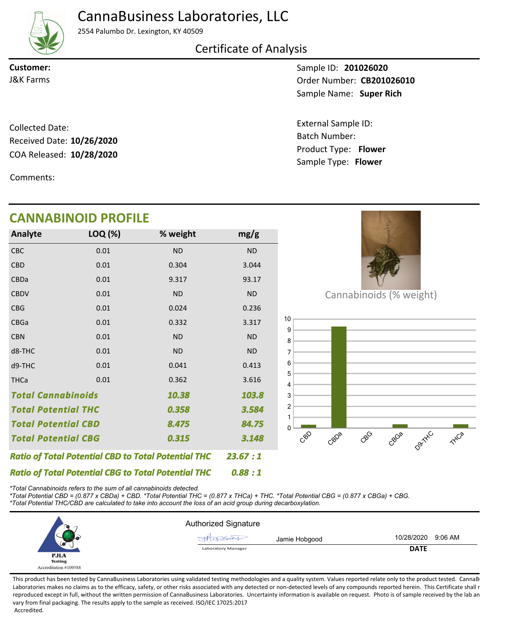# CannaBusiness Laboratories, LLC



2554 Palumbo Dr. Lexington, KY 40509

### Certificate of Analysis

**Customer:**

Sample ID: **201026020** Sample Name: Super Rich **J&K Farms CB201026010** 

> Product Type: **Flower 10/28/2020** Batch Number: External Sample ID: Sample Type: **Flower**

COA Released: 10/28/2020 Collected Date: Received Date: **10/26/2020**

Comments:

## **CANNABINOID PROFILE**

| Analyte                                                    | LOQ (%)  | % weight  | mg/g      |
|------------------------------------------------------------|----------|-----------|-----------|
| <b>CBC</b>                                                 | 0.01     | <b>ND</b> | <b>ND</b> |
| <b>CBD</b>                                                 | 0.01     | 0.304     | 3.044     |
| CBDa                                                       | 0.01     | 9.317     | 93.17     |
| <b>CBDV</b>                                                | 0.01     | <b>ND</b> | <b>ND</b> |
| <b>CBG</b>                                                 | 0.01     | 0.024     | 0.236     |
| <b>CBGa</b>                                                | 0.01     | 0.332     | 3.317     |
| <b>CBN</b>                                                 | 0.01     | <b>ND</b> | <b>ND</b> |
| d8-THC                                                     | 0.01     | <b>ND</b> | <b>ND</b> |
| d9-THC                                                     | 0.01     | 0.041     | 0.413     |
| <b>THCa</b>                                                | 0.01     | 0.362     | 3.616     |
| <b>Total Cannabinoids</b><br>10.38                         |          |           | 103.8     |
| <b>Total Potential THC</b><br>0.358                        |          |           | 3.584     |
| <b>Total Potential CBD</b>                                 |          | 8.475     | 84.75     |
| <b>Total Potential CBG</b><br>0.315                        |          |           | 3.148     |
| <b>Ratio of Total Potential CBD to Total Potential THC</b> |          |           | 23.67:1   |
| <b>Ratio of Total Potential CBG to Total Potential THC</b> | 0.88 : 1 |           |           |



Cannabinoids (% weight)



*\*Total Cannabinoids refers to the sum of all cannabinoids detected.*

*\*Total Potential CBD = (0.877 x CBDa) + CBD. \*Total Potential THC = (0.877 x THCa) + THC. \*Total Potential CBG = (0.877 x CBGa) + CBG. \*Total Potential THC/CBD are calculated to take into account the loss of an acid group during decarboxylation.*



This product has been tested by CannaBusiness Laboratories using validated testing methodologies and a quality system. Values reported relate only to the product tested. CannaBi Laboratories makes no claims as to the efficacy, safety, or other risks associated with any detected or non-detected levels of any compounds reported herein. This Certificate shall r reproduced except in full, without the written permission of CannaBusiness Laboratories. Uncertainty information is available on request. Photo is of sample received by the lab an vary from final packaging. The results apply to the sample as received. ISO/IEC 17025:2017 Accredited.